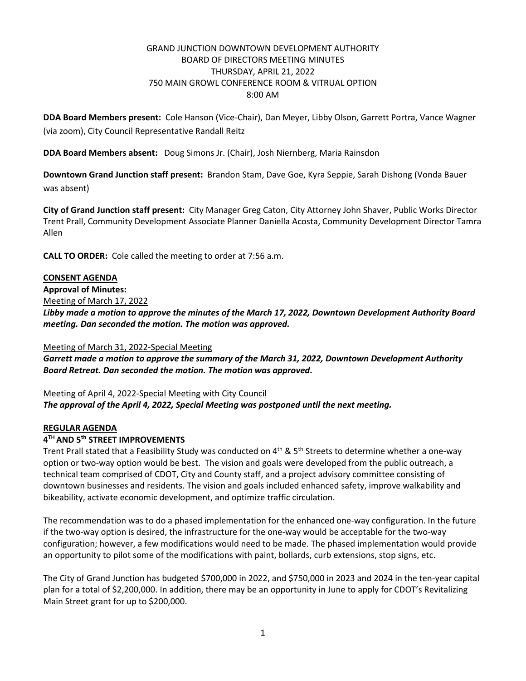# GRAND JUNCTION DOWNTOWN DEVELOPMENT AUTHORITY BOARD OF DIRECTORS MEETING MINUTES THURSDAY, APRIL 21, 2022 750 MAIN GROWL CONFERENCE ROOM & VITRUAL OPTION 8:00 AM

**DDA Board Members present:** Cole Hanson (Vice-Chair), Dan Meyer, Libby Olson, Garrett Portra, Vance Wagner (via zoom), City Council Representative Randall Reitz

**DDA Board Members absent:** Doug Simons Jr. (Chair), Josh Niernberg, Maria Rainsdon

**Downtown Grand Junction staff present:** Brandon Stam, Dave Goe, Kyra Seppie, Sarah Dishong (Vonda Bauer was absent)

**City of Grand Junction staff present:** City Manager Greg Caton, City Attorney John Shaver, Public Works Director Trent Prall, Community Development Associate Planner Daniella Acosta, Community Development Director Tamra Allen

**CALL TO ORDER:** Cole called the meeting to order at 7:56 a.m.

#### **CONSENT AGENDA**

**Approval of Minutes:**

Meeting of March 17, 2022

*Libby made a motion to approve the minutes of the March 17, 2022, Downtown Development Authority Board meeting. Dan seconded the motion. The motion was approved.*

#### Meeting of March 31, 2022-Special Meeting

*Garrett made a motion to approve the summary of the March 31, 2022, Downtown Development Authority Board Retreat. Dan seconded the motion. The motion was approved.*

Meeting of April 4, 2022-Special Meeting with City Council *The approval of the April 4, 2022, Special Meeting was postponed until the next meeting.* 

### **REGULAR AGENDA**

## **4 TH AND 5th STREET IMPROVEMENTS**

Trent Prall stated that a Feasibility Study was conducted on 4<sup>th</sup> & 5<sup>th</sup> Streets to determine whether a one-way option or two-way option would be best. The vision and goals were developed from the public outreach, a technical team comprised of CDOT, City and County staff, and a project advisory committee consisting of downtown businesses and residents. The vision and goals included enhanced safety, improve walkability and bikeability, activate economic development, and optimize traffic circulation.

The recommendation was to do a phased implementation for the enhanced one-way configuration. In the future if the two-way option is desired, the infrastructure for the one-way would be acceptable for the two-way configuration; however, a few modifications would need to be made. The phased implementation would provide an opportunity to pilot some of the modifications with paint, bollards, curb extensions, stop signs, etc.

The City of Grand Junction has budgeted \$700,000 in 2022, and \$750,000 in 2023 and 2024 in the ten-year capital plan for a total of \$2,200,000. In addition, there may be an opportunity in June to apply for CDOT's Revitalizing Main Street grant for up to \$200,000.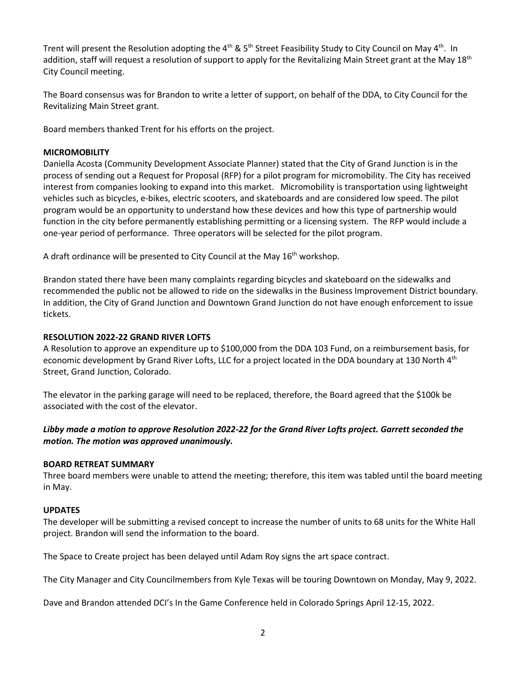Trent will present the Resolution adopting the 4<sup>th</sup> & 5<sup>th</sup> Street Feasibility Study to City Council on May 4<sup>th</sup>. In addition, staff will request a resolution of support to apply for the Revitalizing Main Street grant at the May 18<sup>th</sup> City Council meeting.

The Board consensus was for Brandon to write a letter of support, on behalf of the DDA, to City Council for the Revitalizing Main Street grant.

Board members thanked Trent for his efforts on the project.

## **MICROMOBILITY**

Daniella Acosta (Community Development Associate Planner) stated that the City of Grand Junction is in the process of sending out a Request for Proposal (RFP) for a pilot program for micromobility. The City has received interest from companies looking to expand into this market. Micromobility is transportation using lightweight vehicles such as bicycles, e-bikes, electric scooters, and skateboards and are considered low speed. The pilot program would be an opportunity to understand how these devices and how this type of partnership would function in the city before permanently establishing permitting or a licensing system. The RFP would include a one-year period of performance. Three operators will be selected for the pilot program.

A draft ordinance will be presented to City Council at the May  $16<sup>th</sup>$  workshop.

Brandon stated there have been many complaints regarding bicycles and skateboard on the sidewalks and recommended the public not be allowed to ride on the sidewalks in the Business Improvement District boundary. In addition, the City of Grand Junction and Downtown Grand Junction do not have enough enforcement to issue tickets.

# **RESOLUTION 2022-22 GRAND RIVER LOFTS**

A Resolution to approve an expenditure up to \$100,000 from the DDA 103 Fund, on a reimbursement basis, for economic development by Grand River Lofts, LLC for a project located in the DDA boundary at 130 North 4<sup>th</sup> Street, Grand Junction, Colorado.

The elevator in the parking garage will need to be replaced, therefore, the Board agreed that the \$100k be associated with the cost of the elevator.

# *Libby made a motion to approve Resolution 2022-22 for the Grand River Lofts project. Garrett seconded the motion. The motion was approved unanimously.*

### **BOARD RETREAT SUMMARY**

Three board members were unable to attend the meeting; therefore, this item was tabled until the board meeting in May.

# **UPDATES**

The developer will be submitting a revised concept to increase the number of units to 68 units for the White Hall project. Brandon will send the information to the board.

The Space to Create project has been delayed until Adam Roy signs the art space contract.

The City Manager and City Councilmembers from Kyle Texas will be touring Downtown on Monday, May 9, 2022.

Dave and Brandon attended DCI's In the Game Conference held in Colorado Springs April 12-15, 2022.